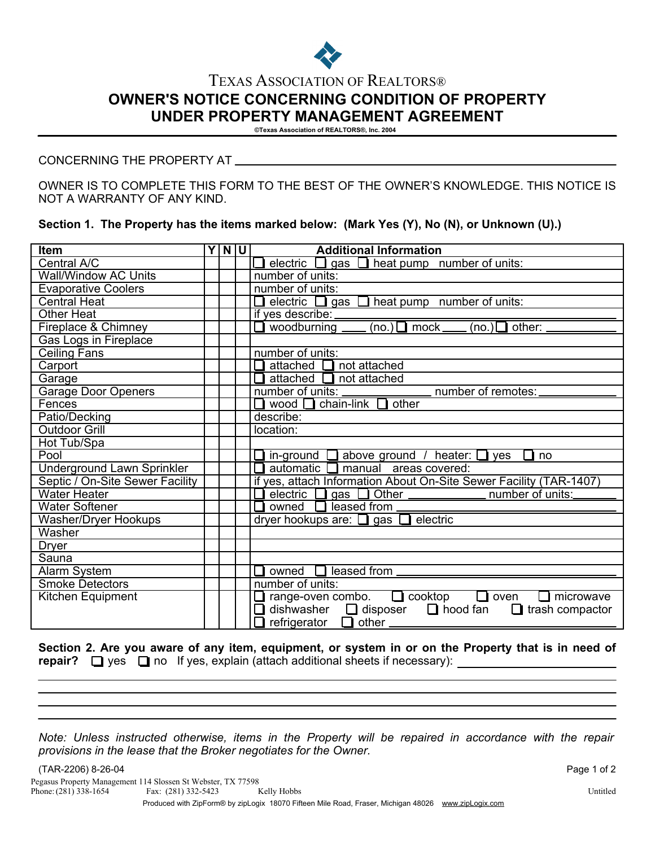

## **OWNER'S NOTICE CONCERNING CONDITION OF PROPERTY UNDER PROPERTY MANAGEMENT AGREEMENT** TEXAS ASSOCIATION OF REALTORS®

**©Texas Association of REALTORS®, Inc. 2004**

## CONCERNING THE PROPERTY AT

OWNER IS TO COMPLETE THIS FORM TO THE BEST OF THE OWNER'S KNOWLEDGE. THIS NOTICE IS NOT A WARRANTY OF ANY KIND.

**Section 1. The Property has the items marked below: (Mark Yes (Y), No (N), or Unknown (U).)**

| <b>Item</b>                       | Y N U | <b>Additional Information</b>                                              |
|-----------------------------------|-------|----------------------------------------------------------------------------|
| Central A/C                       |       | <b>E</b> electric <b>E</b> gas <b>E</b> heat pump number of units:         |
| <b>Wall/Window AC Units</b>       |       | number of units:                                                           |
| <b>Evaporative Coolers</b>        |       | number of units:                                                           |
| <b>Central Heat</b>               |       | <b>E</b> electric $\Box$ gas $\Box$ heat pump number of units:             |
| <b>Other Heat</b>                 |       | if yes describe:                                                           |
| Fireplace & Chimney               |       | $(no.)$ mock ____<br>other:<br>woodburning _<br>(no.) $\Box$               |
| Gas Logs in Fireplace             |       |                                                                            |
| <b>Ceiling Fans</b>               |       | number of units:                                                           |
| Carport                           |       | attached $\Box$ not attached                                               |
| Garage                            |       | $attached$ not attached                                                    |
| <b>Garage Door Openers</b>        |       | number of remotes:                                                         |
| Fences                            |       | wood $\Box$ chain-link $\Box$ other                                        |
| Patio/Decking                     |       | describe:                                                                  |
| <b>Outdoor Grill</b>              |       | location:                                                                  |
| Hot Tub/Spa                       |       |                                                                            |
| Pool                              |       | in-ground $\Box$ above ground / heater: $\Box$ yes<br>∐ no                 |
| <b>Underground Lawn Sprinkler</b> |       | automatic $\Box$ manual areas covered:                                     |
| Septic / On-Site Sewer Facility   |       | if yes, attach Information About On-Site Sewer Facility (TAR-1407)         |
| <b>Water Heater</b>               |       | electric □ gas □ Other <u>_________</u> number of units:                   |
| <b>Water Softener</b>             |       | owned $\Box$ leased from $\Box$                                            |
| Washer/Dryer Hookups              |       | dryer hookups are: $\Box$ gas $\Box$ electric                              |
| Washer                            |       |                                                                            |
| <b>Dryer</b>                      |       |                                                                            |
| Sauna                             |       |                                                                            |
| Alarm System                      |       | owned $\Box$ leased from $\Box$                                            |
| <b>Smoke Detectors</b>            |       | number of units:                                                           |
| Kitchen Equipment                 |       | range-oven combo. $\Box$ cooktop<br>$\Box$ oven<br>microwave               |
|                                   |       | $\Box$ hood fan<br>dishwasher<br>$\Box$ disposer<br>$\Box$ trash compactor |
|                                   |       | refrigerator<br>$\Box$ other                                               |

**Section 2. Are you aware of any item, equipment, or system in or on the Property that is in need of repair?**  $\Box$  yes  $\Box$  no If yes, explain (attach additional sheets if necessary):

*Note: Unless instructed otherwise, items in the Property will be repaired in accordance with the repair provisions in the lease that the Broker negotiates for the Owner.*

(TAR-2206) 8-26-04 Page 1 of 2 Phone:  $(281)$  338-1654 Produced with ZipForm® by zipLogix 18070 Fifteen Mile Road, Fraser, Michigan 48026 www.zipLogix.com Pegasus Property Management 114 Slossen St Webster, TX 77598 Fax:  $(281)$  332-5423 Kelly Hobbs Kelly Hobbs Kelly Hobbs Untitled